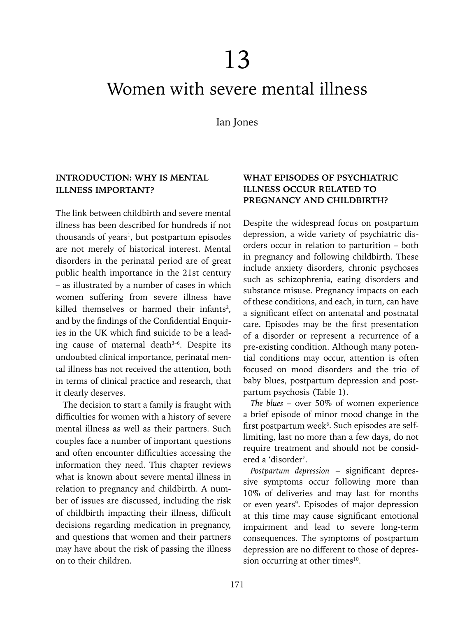# 13

# Women with severe mental illness

Ian Jones

#### **INTRODUCTION: WHY IS MENTAL ILLNESS IMPORTANT?**

The link between childbirth and severe mental illness has been described for hundreds if not thousands of years<sup>1</sup>, but postpartum episodes are not merely of historical interest. Mental disorders in the perinatal period are of great public health importance in the 21st century – as illustrated by a number of cases in which women suffering from severe illness have killed themselves or harmed their infants<sup>2</sup>, and by the findings of the Confidential Enquiries in the UK which find suicide to be a leading cause of maternal death<sup>3-6</sup>. Despite its undoubted clinical importance, perinatal mental illness has not received the attention, both in terms of clinical practice and research, that it clearly deserves.

The decision to start a family is fraught with difficulties for women with a history of severe mental illness as well as their partners. Such couples face a number of important questions and often encounter difficulties accessing the information they need. This chapter reviews what is known about severe mental illness in relation to pregnancy and childbirth. A number of issues are discussed, including the risk of childbirth impacting their illness, difficult decisions regarding medication in pregnancy, and questions that women and their partners may have about the risk of passing the illness on to their children.

# **WHAT EPISODES OF PSYCHIATRIC ILLNESS OCCUR RELATED TO PREGNANCY AND CHILDBIRTH?**

Despite the widespread focus on postpartum depression, a wide variety of psychiatric disorders occur in relation to parturition – both in pregnancy and following childbirth. These include anxiety disorders, chronic psychoses such as schizophrenia, eating disorders and substance misuse. Pregnancy impacts on each of these conditions, and each, in turn, can have a significant effect on antenatal and postnatal care. Episodes may be the first presentation of a disorder or represent a recurrence of a pre-existing condition. Although many potential conditions may occur, attention is often focused on mood disorders and the trio of baby blues, postpartum depression and postpartum psychosis (Table 1).

*The blues* – over 50% of women experience a brief episode of minor mood change in the first postpartum week<sup>8</sup>. Such episodes are selflimiting, last no more than a few days, do not require treatment and should not be considered a 'disorder'.

*Postpartum depression* – significant depressive symptoms occur following more than 10% of deliveries and may last for months or even years<sup>9</sup>. Episodes of major depression at this time may cause significant emotional impairment and lead to severe long-term consequences. The symptoms of postpartum depression are no different to those of depression occurring at other times<sup>10</sup>.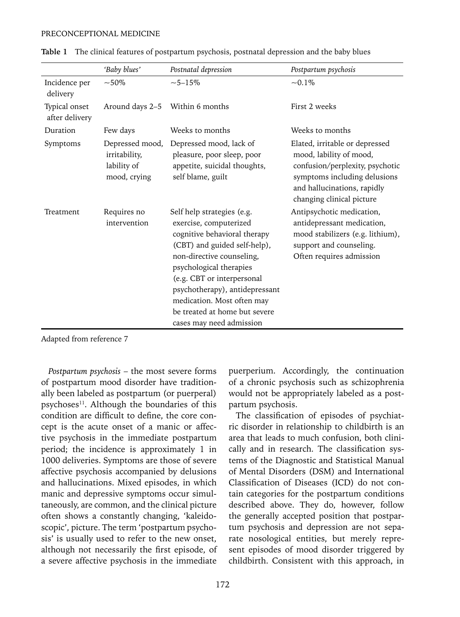#### PRECONCEPTIONAL MEDICINE

|                                 | 'Baby blues'                                                    | Postnatal depression                                                                                                                                                                                                                                                                                                                    | Postpartum psychosis                                                                                                                                                                     |
|---------------------------------|-----------------------------------------------------------------|-----------------------------------------------------------------------------------------------------------------------------------------------------------------------------------------------------------------------------------------------------------------------------------------------------------------------------------------|------------------------------------------------------------------------------------------------------------------------------------------------------------------------------------------|
| Incidence per<br>delivery       | $~1.50\%$                                                       | $~15\%$                                                                                                                                                                                                                                                                                                                                 | $-0.1\%$                                                                                                                                                                                 |
| Typical onset<br>after delivery | Around days 2-5 Within 6 months                                 |                                                                                                                                                                                                                                                                                                                                         | First 2 weeks                                                                                                                                                                            |
| Duration                        | Few days                                                        | Weeks to months                                                                                                                                                                                                                                                                                                                         | Weeks to months                                                                                                                                                                          |
| Symptoms                        | Depressed mood,<br>irritability,<br>lability of<br>mood, crying | Depressed mood, lack of<br>pleasure, poor sleep, poor<br>appetite, suicidal thoughts,<br>self blame, guilt                                                                                                                                                                                                                              | Elated, irritable or depressed<br>mood, lability of mood,<br>confusion/perplexity, psychotic<br>symptoms including delusions<br>and hallucinations, rapidly<br>changing clinical picture |
| Treatment                       | Requires no<br>intervention                                     | Self help strategies (e.g.<br>exercise, computerized<br>cognitive behavioral therapy<br>(CBT) and guided self-help),<br>non-directive counseling,<br>psychological therapies<br>(e.g. CBT or interpersonal<br>psychotherapy), antidepressant<br>medication. Most often may<br>be treated at home but severe<br>cases may need admission | Antipsychotic medication,<br>antidepressant medication,<br>mood stabilizers (e.g. lithium),<br>support and counseling.<br>Often requires admission                                       |

Adapted from reference 7

*Postpartum psychosis* – the most severe forms of postpartum mood disorder have traditionally been labeled as postpartum (or puerperal) psychoses<sup>11</sup>. Although the boundaries of this condition are difficult to define, the core concept is the acute onset of a manic or affective psychosis in the immediate postpartum period; the incidence is approximately 1 in 1000 deliveries. Symptoms are those of severe affective psychosis accompanied by delusions and hallucinations. Mixed episodes, in which manic and depressive symptoms occur simultaneously, are common, and the clinical picture often shows a constantly changing, 'kaleidoscopic', picture. The term 'postpartum psychosis' is usually used to refer to the new onset, although not necessarily the first episode, of a severe affective psychosis in the immediate puerperium. Accordingly, the continuation of a chronic psychosis such as schizophrenia would not be appropriately labeled as a postpartum psychosis.

The classification of episodes of psychiatric disorder in relationship to childbirth is an area that leads to much confusion, both clinically and in research. The classification systems of the Diagnostic and Statistical Manual of Mental Disorders (DSM) and International Classification of Diseases (ICD) do not contain categories for the postpartum conditions described above. They do, however, follow the generally accepted position that postpartum psychosis and depression are not separate nosological entities, but merely represent episodes of mood disorder triggered by childbirth. Consistent with this approach, in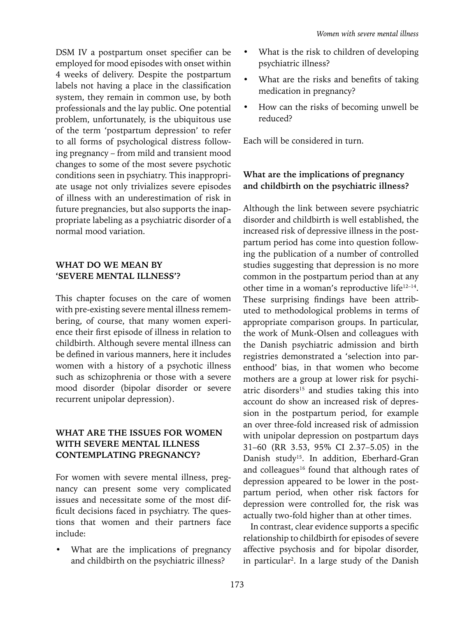DSM IV a postpartum onset specifier can be employed for mood episodes with onset within 4 weeks of delivery. Despite the postpartum labels not having a place in the classification system, they remain in common use, by both professionals and the lay public. One potential problem, unfortunately, is the ubiquitous use of the term 'postpartum depression' to refer to all forms of psychological distress following pregnancy – from mild and transient mood changes to some of the most severe psychotic conditions seen in psychiatry. This inappropriate usage not only trivializes severe episodes of illness with an underestimation of risk in future pregnancies, but also supports the inappropriate labeling as a psychiatric disorder of a normal mood variation.

### **WHAT DO WE MEAN BY 'SEVERE MENTAL ILLNESS'?**

This chapter focuses on the care of women with pre-existing severe mental illness remembering, of course, that many women experience their first episode of illness in relation to childbirth. Although severe mental illness can be defined in various manners, here it includes women with a history of a psychotic illness such as schizophrenia or those with a severe mood disorder (bipolar disorder or severe recurrent unipolar depression).

# **WHAT ARE THE ISSUES FOR WOMEN WITH SEVERE MENTAL ILLNESS CONTEMPLATING PREGNANCY?**

For women with severe mental illness, pregnancy can present some very complicated issues and necessitate some of the most difficult decisions faced in psychiatry. The questions that women and their partners face include:

What are the implications of pregnancy and childbirth on the psychiatric illness?

- What is the risk to children of developing psychiatric illness?
- What are the risks and benefits of taking medication in pregnancy?
- How can the risks of becoming unwell be reduced?

Each will be considered in turn.

# **What are the implications of pregnancy and childbirth on the psychiatric illness?**

Although the link between severe psychiatric disorder and childbirth is well established, the increased risk of depressive illness in the postpartum period has come into question following the publication of a number of controlled studies suggesting that depression is no more common in the postpartum period than at any other time in a woman's reproductive life12–14. These surprising findings have been attributed to methodological problems in terms of appropriate comparison groups. In particular, the work of Munk-Olsen and colleagues with the Danish psychiatric admission and birth registries demonstrated a 'selection into parenthood' bias, in that women who become mothers are a group at lower risk for psychiatric disorders<sup>15</sup> and studies taking this into account do show an increased risk of depression in the postpartum period, for example an over three-fold increased risk of admission with unipolar depression on postpartum days 31–60 (RR 3.53, 95% CI 2.37–5.05) in the Danish study<sup>15</sup>. In addition, Eberhard-Gran and colleagues<sup>16</sup> found that although rates of depression appeared to be lower in the postpartum period, when other risk factors for depression were controlled for, the risk was actually two-fold higher than at other times.

In contrast, clear evidence supports a specific relationship to childbirth for episodes of severe affective psychosis and for bipolar disorder, in particular2 . In a large study of the Danish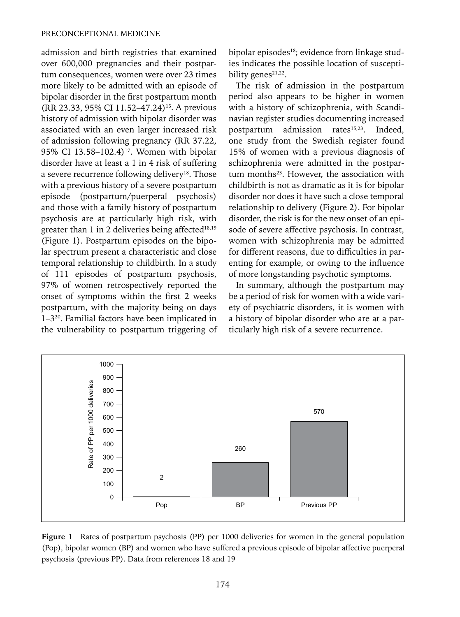#### PRECONCEPTIONAL MEDICINE

admission and birth registries that examined over 600,000 pregnancies and their postpartum consequences, women were over 23 times more likely to be admitted with an episode of bipolar disorder in the first postpartum month (RR 23.33, 95% CI 11.52-47.24)<sup>15</sup>. A previous history of admission with bipolar disorder was associated with an even larger increased risk of admission following pregnancy (RR 37.22, 95% CI 13.58-102.4)<sup>17</sup>. Women with bipolar disorder have at least a 1 in 4 risk of suffering a severe recurrence following delivery<sup>18</sup>. Those with a previous history of a severe postpartum episode (postpartum/puerperal psychosis) and those with a family history of postpartum psychosis are at particularly high risk, with greater than 1 in 2 deliveries being affected<sup>18,19</sup> (Figure 1). Postpartum episodes on the bipolar spectrum present a characteristic and close temporal relationship to childbirth. In a study of 111 episodes of postpartum psychosis, 97% of women retrospectively reported the onset of symptoms within the first 2 weeks postpartum, with the majority being on days 1–320. Familial factors have been implicated in the vulnerability to postpartum triggering of bipolar episodes<sup>18</sup>; evidence from linkage studies indicates the possible location of susceptibility genes<sup> $21,22$ </sup>.

The risk of admission in the postpartum period also appears to be higher in women with a history of schizophrenia, with Scandinavian register studies documenting increased postpartum admission rates<sup>15,23</sup>. Indeed, one study from the Swedish register found 15% of women with a previous diagnosis of schizophrenia were admitted in the postpartum months<sup>23</sup>. However, the association with childbirth is not as dramatic as it is for bipolar disorder nor does it have such a close temporal relationship to delivery (Figure 2). For bipolar disorder, the risk is for the new onset of an episode of severe affective psychosis. In contrast, women with schizophrenia may be admitted for different reasons, due to difficulties in parenting for example, or owing to the influence of more longstanding psychotic symptoms.

In summary, although the postpartum may be a period of risk for women with a wide variety of psychiatric disorders, it is women with a history of bipolar disorder who are at a particularly high risk of a severe recurrence.



**Figure 1** Rates of postpartum psychosis (PP) per 1000 deliveries for women in the general population (Pop), bipolar women (BP) and women who have suffered a previous episode of bipolar affective puerperal psychosis (previous PP). Data from references 18 and 19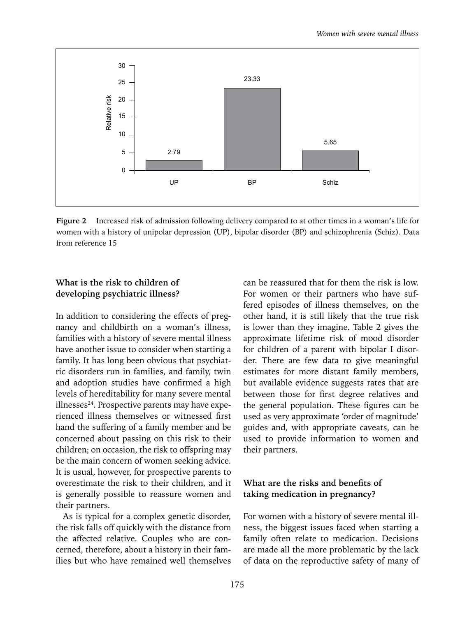

**Figure 2** Increased risk of admission following delivery compared to at other times in a woman's life for women with a history of unipolar depression (UP), bipolar disorder (BP) and schizophrenia (Schiz). Data from reference 15

### **What is the risk to children of developing psychiatric illness?**

In addition to considering the effects of pregnancy and childbirth on a woman's illness, families with a history of severe mental illness have another issue to consider when starting a family. It has long been obvious that psychiatric disorders run in families, and family, twin and adoption studies have confirmed a high levels of hereditability for many severe mental  $illnesses<sup>24</sup>$ . Prospective parents may have experienced illness themselves or witnessed first hand the suffering of a family member and be concerned about passing on this risk to their children; on occasion, the risk to offspring may be the main concern of women seeking advice. It is usual, however, for prospective parents to overestimate the risk to their children, and it is generally possible to reassure women and their partners.

As is typical for a complex genetic disorder, the risk falls off quickly with the distance from the affected relative. Couples who are concerned, therefore, about a history in their families but who have remained well themselves

can be reassured that for them the risk is low. For women or their partners who have suffered episodes of illness themselves, on the other hand, it is still likely that the true risk is lower than they imagine. Table 2 gives the approximate lifetime risk of mood disorder for children of a parent with bipolar I disorder. There are few data to give meaningful estimates for more distant family members, but available evidence suggests rates that are between those for first degree relatives and the general population. These figures can be used as very approximate 'order of magnitude' guides and, with appropriate caveats, can be used to provide information to women and their partners.

#### **What are the risks and benefits of taking medication in pregnancy?**

For women with a history of severe mental illness, the biggest issues faced when starting a family often relate to medication. Decisions are made all the more problematic by the lack of data on the reproductive safety of many of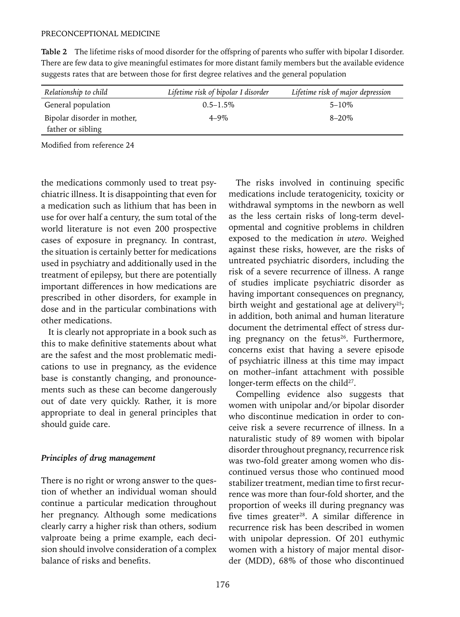| Relationship to child       | Lifetime risk of bipolar I disorder | Lifetime risk of major depression |  |  |
|-----------------------------|-------------------------------------|-----------------------------------|--|--|
| General population          | $0.5 - 1.5\%$                       | $5 - 10\%$                        |  |  |
| Bipolar disorder in mother, | $4 - 9\%$                           | $8 - 20\%$                        |  |  |

**Table 2** The lifetime risks of mood disorder for the offspring of parents who suffer with bipolar I disorder. There are few data to give meaningful estimates for more distant family members but the available evidence suggests rates that are between those for first degree relatives and the general population

Modified from reference 24

father or sibling

the medications commonly used to treat psychiatric illness. It is disappointing that even for a medication such as lithium that has been in use for over half a century, the sum total of the world literature is not even 200 prospective cases of exposure in pregnancy. In contrast, the situation is certainly better for medications used in psychiatry and additionally used in the treatment of epilepsy, but there are potentially important differences in how medications are prescribed in other disorders, for example in dose and in the particular combinations with other medications.

It is clearly not appropriate in a book such as this to make definitive statements about what are the safest and the most problematic medications to use in pregnancy, as the evidence base is constantly changing, and pronouncements such as these can become dangerously out of date very quickly. Rather, it is more appropriate to deal in general principles that should guide care.

#### *Principles of drug management*

There is no right or wrong answer to the question of whether an individual woman should continue a particular medication throughout her pregnancy. Although some medications clearly carry a higher risk than others, sodium valproate being a prime example, each decision should involve consideration of a complex balance of risks and benefits.

The risks involved in continuing specific medications include teratogenicity, toxicity or withdrawal symptoms in the newborn as well as the less certain risks of long-term developmental and cognitive problems in children exposed to the medication *in utero*. Weighed against these risks, however, are the risks of untreated psychiatric disorders, including the risk of a severe recurrence of illness. A range of studies implicate psychiatric disorder as having important consequences on pregnancy, birth weight and gestational age at delivery<sup>25</sup>; in addition, both animal and human literature document the detrimental effect of stress during pregnancy on the fetus<sup>26</sup>. Furthermore, concerns exist that having a severe episode of psychiatric illness at this time may impact on mother–infant attachment with possible longer-term effects on the child<sup>27</sup>.

Compelling evidence also suggests that women with unipolar and/or bipolar disorder who discontinue medication in order to conceive risk a severe recurrence of illness. In a naturalistic study of 89 women with bipolar disorder throughout pregnancy, recurrence risk was two-fold greater among women who discontinued versus those who continued mood stabilizer treatment, median time to first recurrence was more than four-fold shorter, and the proportion of weeks ill during pregnancy was five times greater<sup>28</sup>. A similar difference in recurrence risk has been described in women with unipolar depression. Of 201 euthymic women with a history of major mental disorder (MDD), 68% of those who discontinued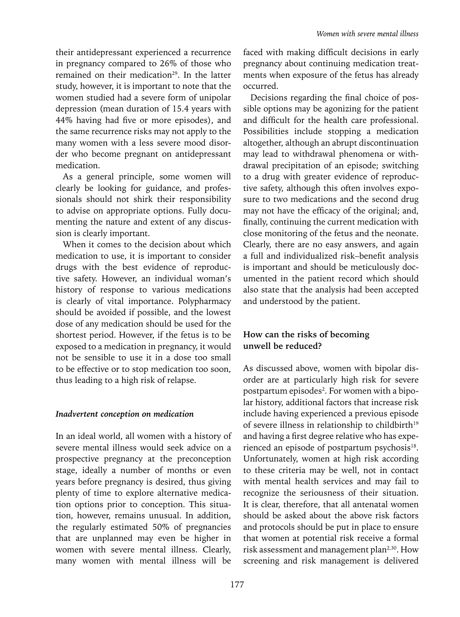their antidepressant experienced a recurrence in pregnancy compared to 26% of those who remained on their medication<sup>29</sup>. In the latter study, however, it is important to note that the women studied had a severe form of unipolar depression (mean duration of 15.4 years with 44% having had five or more episodes), and the same recurrence risks may not apply to the many women with a less severe mood disorder who become pregnant on antidepressant medication.

As a general principle, some women will clearly be looking for guidance, and professionals should not shirk their responsibility to advise on appropriate options. Fully documenting the nature and extent of any discussion is clearly important.

When it comes to the decision about which medication to use, it is important to consider drugs with the best evidence of reproductive safety. However, an individual woman's history of response to various medications is clearly of vital importance. Polypharmacy should be avoided if possible, and the lowest dose of any medication should be used for the shortest period. However, if the fetus is to be exposed to a medication in pregnancy, it would not be sensible to use it in a dose too small to be effective or to stop medication too soon, thus leading to a high risk of relapse.

#### *Inadvertent conception on medication*

In an ideal world, all women with a history of severe mental illness would seek advice on a prospective pregnancy at the preconception stage, ideally a number of months or even years before pregnancy is desired, thus giving plenty of time to explore alternative medication options prior to conception. This situation, however, remains unusual. In addition, the regularly estimated 50% of pregnancies that are unplanned may even be higher in women with severe mental illness. Clearly, many women with mental illness will be faced with making difficult decisions in early pregnancy about continuing medication treatments when exposure of the fetus has already occurred.

Decisions regarding the final choice of possible options may be agonizing for the patient and difficult for the health care professional. Possibilities include stopping a medication altogether, although an abrupt discontinuation may lead to withdrawal phenomena or withdrawal precipitation of an episode; switching to a drug with greater evidence of reproductive safety, although this often involves exposure to two medications and the second drug may not have the efficacy of the original; and, finally, continuing the current medication with close monitoring of the fetus and the neonate. Clearly, there are no easy answers, and again a full and individualized risk–benefit analysis is important and should be meticulously documented in the patient record which should also state that the analysis had been accepted and understood by the patient.

### **How can the risks of becoming unwell be reduced?**

As discussed above, women with bipolar disorder are at particularly high risk for severe postpartum episodes<sup>2</sup>. For women with a bipolar history, additional factors that increase risk include having experienced a previous episode of severe illness in relationship to childbirth<sup>19</sup> and having a first degree relative who has experienced an episode of postpartum psychosis<sup>18</sup>. Unfortunately, women at high risk according to these criteria may be well, not in contact with mental health services and may fail to recognize the seriousness of their situation. It is clear, therefore, that all antenatal women should be asked about the above risk factors and protocols should be put in place to ensure that women at potential risk receive a formal risk assessment and management plan<sup>2,30</sup>. How screening and risk management is delivered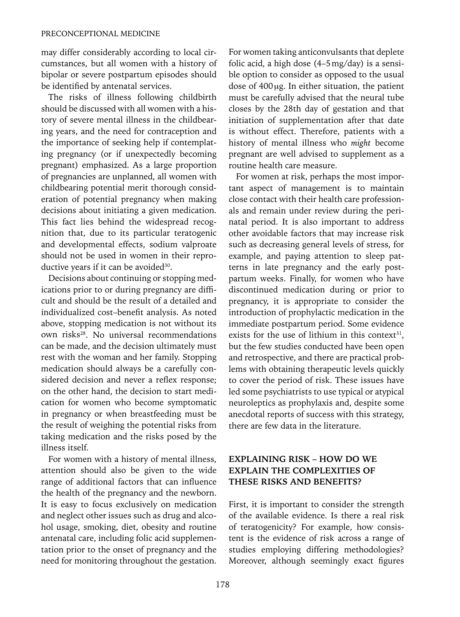may differ considerably according to local circumstances, but all women with a history of bipolar or severe postpartum episodes should be identified by antenatal services.

The risks of illness following childbirth should be discussed with all women with a history of severe mental illness in the childbearing years, and the need for contraception and the importance of seeking help if contemplating pregnancy (or if unexpectedly becoming pregnant) emphasized. As a large proportion of pregnancies are unplanned, all women with childbearing potential merit thorough consideration of potential pregnancy when making decisions about initiating a given medication. This fact lies behind the widespread recognition that, due to its particular teratogenic and developmental effects, sodium valproate should not be used in women in their reproductive years if it can be avoided<sup>30</sup>.

Decisions about continuing or stopping medications prior to or during pregnancy are difficult and should be the result of a detailed and individualized cost–benefit analysis. As noted above, stopping medication is not without its own risks<sup>28</sup>. No universal recommendations can be made, and the decision ultimately must rest with the woman and her family. Stopping medication should always be a carefully considered decision and never a reflex response; on the other hand, the decision to start medication for women who become symptomatic in pregnancy or when breastfeeding must be the result of weighing the potential risks from taking medication and the risks posed by the illness itself.

For women with a history of mental illness, attention should also be given to the wide range of additional factors that can influence the health of the pregnancy and the newborn. It is easy to focus exclusively on medication and neglect other issues such as drug and alcohol usage, smoking, diet, obesity and routine antenatal care, including folic acid supplementation prior to the onset of pregnancy and the need for monitoring throughout the gestation. For women taking anticonvulsants that deplete folic acid, a high dose (4–5mg/day) is a sensible option to consider as opposed to the usual dose of 400μg. In either situation, the patient must be carefully advised that the neural tube closes by the 28th day of gestation and that initiation of supplementation after that date is without effect. Therefore, patients with a history of mental illness who *might* become pregnant are well advised to supplement as a routine health care measure.

For women at risk, perhaps the most important aspect of management is to maintain close contact with their health care professionals and remain under review during the perinatal period. It is also important to address other avoidable factors that may increase risk such as decreasing general levels of stress, for example, and paying attention to sleep patterns in late pregnancy and the early postpartum weeks. Finally, for women who have discontinued medication during or prior to pregnancy, it is appropriate to consider the introduction of prophylactic medication in the immediate postpartum period. Some evidence exists for the use of lithium in this context $31$ , but the few studies conducted have been open and retrospective, and there are practical problems with obtaining therapeutic levels quickly to cover the period of risk. These issues have led some psychiatrists to use typical or atypical neuroleptics as prophylaxis and, despite some anecdotal reports of success with this strategy, there are few data in the literature.

#### **EXPLAINING RISK – HOW DO WE EXPLAIN THE COMPLEXITIES OF THESE RISKS AND BENEFITS?**

First, it is important to consider the strength of the available evidence. Is there a real risk of teratogenicity? For example, how consistent is the evidence of risk across a range of studies employing differing methodologies? Moreover, although seemingly exact figures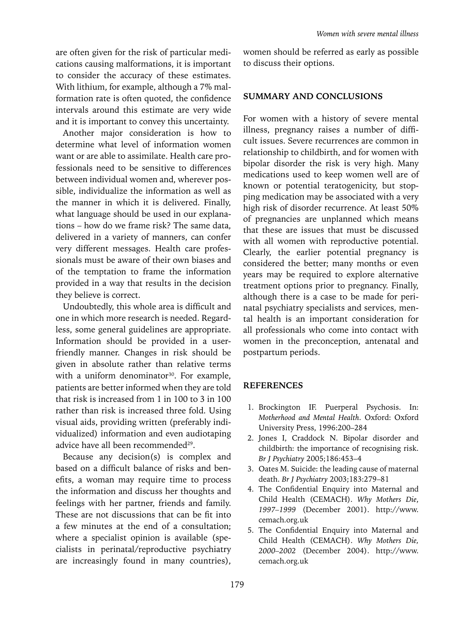are often given for the risk of particular medications causing malformations, it is important to consider the accuracy of these estimates. With lithium, for example, although a 7% malformation rate is often quoted, the confidence intervals around this estimate are very wide and it is important to convey this uncertainty.

Another major consideration is how to determine what level of information women want or are able to assimilate. Health care professionals need to be sensitive to differences between individual women and, wherever possible, individualize the information as well as the manner in which it is delivered. Finally, what language should be used in our explanations – how do we frame risk? The same data, delivered in a variety of manners, can confer very different messages. Health care professionals must be aware of their own biases and of the temptation to frame the information provided in a way that results in the decision they believe is correct.

Undoubtedly, this whole area is difficult and one in which more research is needed. Regardless, some general guidelines are appropriate. Information should be provided in a userfriendly manner. Changes in risk should be given in absolute rather than relative terms with a uniform denominator<sup>30</sup>. For example, patients are better informed when they are told that risk is increased from 1 in 100 to 3 in 100 rather than risk is increased three fold. Using visual aids, providing written (preferably individualized) information and even audiotaping advice have all been recommended<sup>29</sup>.

Because any decision(s) is complex and based on a difficult balance of risks and benefits, a woman may require time to process the information and discuss her thoughts and feelings with her partner, friends and family. These are not discussions that can be fit into a few minutes at the end of a consultation; where a specialist opinion is available (specialists in perinatal/reproductive psychiatry are increasingly found in many countries), *Women with severe mental illness*

women should be referred as early as possible to discuss their options.

#### **SUMMARY AND CONCLUSIONS**

For women with a history of severe mental illness, pregnancy raises a number of difficult issues. Severe recurrences are common in relationship to childbirth, and for women with bipolar disorder the risk is very high. Many medications used to keep women well are of known or potential teratogenicity, but stopping medication may be associated with a very high risk of disorder recurrence. At least 50% of pregnancies are unplanned which means that these are issues that must be discussed with all women with reproductive potential. Clearly, the earlier potential pregnancy is considered the better; many months or even years may be required to explore alternative treatment options prior to pregnancy. Finally, although there is a case to be made for perinatal psychiatry specialists and services, mental health is an important consideration for all professionals who come into contact with women in the preconception, antenatal and postpartum periods.

#### **References**

- 1. Brockington IF. Puerperal Psychosis. In: *Motherhood and Mental Health*. Oxford: Oxford University Press, 1996:200–284
- 2. Jones I, Craddock N. Bipolar disorder and childbirth: the importance of recognising risk. *Br J Psychiatry* 2005;186:453–4
- 3. Oates M. Suicide: the leading cause of maternal death. *Br J Psychiatry* 2003;183:279–81
- 4. The Confidential Enquiry into Maternal and Child Health (CEMACH). *Why Mothers Die*, *1997–1999* (December 2001). http://www. cemach.org.uk
- 5. The Confidential Enquiry into Maternal and Child Health (CEMACH). *Why Mothers Die, 2000–2002* (December 2004). http://www. cemach.org.uk